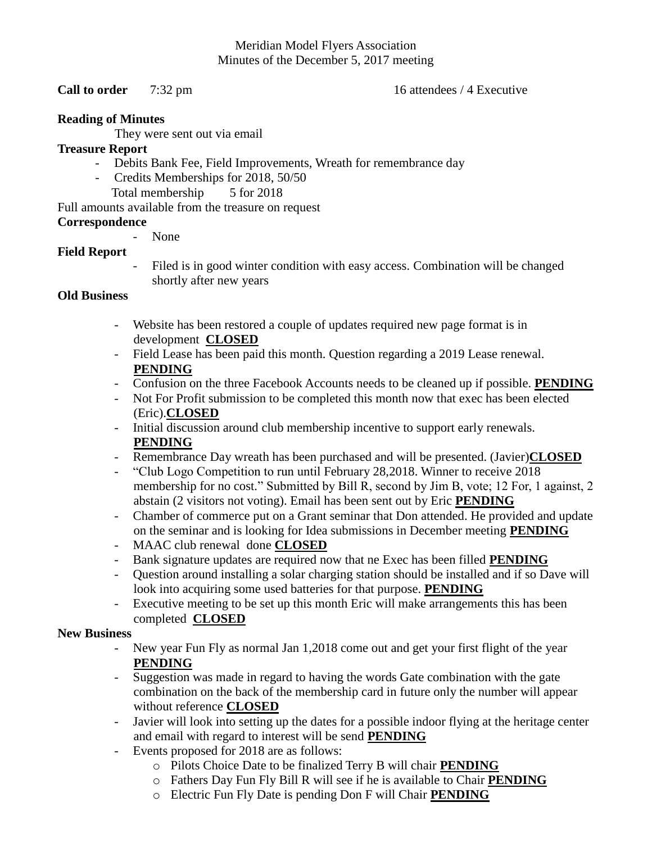# Meridian Model Flyers Association Minutes of the December 5, 2017 meeting

#### **Call to order** 7:32 pm 16 attendees / 4 Executive

#### **Reading of Minutes**

They were sent out via email

## **Treasure Report**

- Debits Bank Fee, Field Improvements, Wreath for remembrance day
- Credits Memberships for 2018, 50/50
	- Total membership 5 for 2018

# Full amounts available from the treasure on request

# **Correspondence**

- None

# **Field Report**

Filed is in good winter condition with easy access. Combination will be changed shortly after new years

## **Old Business**

- Website has been restored a couple of updates required new page format is in development **CLOSED**
- Field Lease has been paid this month. Question regarding a 2019 Lease renewal. **PENDING**
- Confusion on the three Facebook Accounts needs to be cleaned up if possible. **PENDING**
- Not For Profit submission to be completed this month now that exec has been elected (Eric).**CLOSED**
- Initial discussion around club membership incentive to support early renewals. **PENDING**
- Remembrance Day wreath has been purchased and will be presented. (Javier)**CLOSED**
- "Club Logo Competition to run until February 28,2018. Winner to receive 2018 membership for no cost." Submitted by Bill R, second by Jim B, vote; 12 For, 1 against, 2 abstain (2 visitors not voting). Email has been sent out by Eric **PENDING**
- Chamber of commerce put on a Grant seminar that Don attended. He provided and update on the seminar and is looking for Idea submissions in December meeting **PENDING**
- MAAC club renewal done **CLOSED**
- Bank signature updates are required now that ne Exec has been filled **PENDING**
- Question around installing a solar charging station should be installed and if so Dave will look into acquiring some used batteries for that purpose. **PENDING**
- Executive meeting to be set up this month Eric will make arrangements this has been completed **CLOSED**

#### **New Business**

- New year Fun Fly as normal Jan 1,2018 come out and get your first flight of the year **PENDING**
- Suggestion was made in regard to having the words Gate combination with the gate combination on the back of the membership card in future only the number will appear without reference **CLOSED**
- Javier will look into setting up the dates for a possible indoor flying at the heritage center and email with regard to interest will be send **PENDING**
- Events proposed for 2018 are as follows:
	- o Pilots Choice Date to be finalized Terry B will chair **PENDING**
	- o Fathers Day Fun Fly Bill R will see if he is available to Chair **PENDING**
	- o Electric Fun Fly Date is pending Don F will Chair **PENDING**